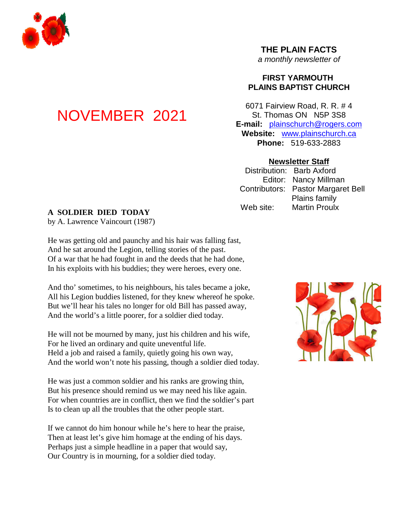

# **THE PLAIN FACTS**

*a monthly newsletter of*

# **FIRST YARMOUTH PLAINS BAPTIST CHURCH**

6071 Fairview Road, R. R. # 4 St. Thomas ON N5P 3S8 **E-mail:** plainschurch@rogers.com **Website:** www.plainschurch.ca **Phone:** 519-633-2883

### **Newsletter Staff**

Distribution: Barb Axford Editor: Nancy Millman Contributors: Pastor Margaret Bell Plains family Web site: Martin Proulx

# **A SOLDIER DIED TODAY**

NOVEMBER 2021

by A. Lawrence Vaincourt (1987)

He was getting old and paunchy and his hair was falling fast, And he sat around the Legion, telling stories of the past. Of a war that he had fought in and the deeds that he had done, In his exploits with his buddies; they were heroes, every one.

And tho' sometimes, to his neighbours, his tales became a joke, All his Legion buddies listened, for they knew whereof he spoke. But we'll hear his tales no longer for old Bill has passed away, And the world's a little poorer, for a soldier died today.

He will not be mourned by many, just his children and his wife, For he lived an ordinary and quite uneventful life. Held a job and raised a family, quietly going his own way, And the world won't note his passing, though a soldier died today.

He was just a common soldier and his ranks are growing thin, But his presence should remind us we may need his like again. For when countries are in conflict, then we find the soldier's part Is to clean up all the troubles that the other people start.

If we cannot do him honour while he's here to hear the praise, Then at least let's give him homage at the ending of his days. Perhaps just a simple headline in a paper that would say, Our Country is in mourning, for a soldier died today.

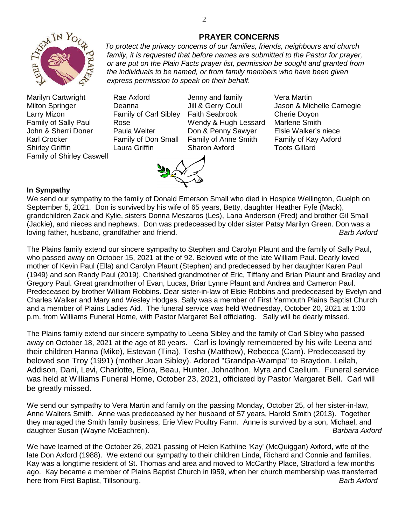

- Marilyn Cartwright Rae Axford Jenny and family Vera Martin Larry Mizon Family of Carl Sibley Faith Seabrook Cherie Doyon Family of Sally Paul Rose **No. 2018** Wendy & Hugh Lessard Marlene Smith John & Sherri Doner Paula Welter Don & Penny Sawyer Elsie Walker's niece Karl Crocker **Family of Don Small Family of Anne Smith** Family of Kay Axford Shirley Griffin **Caura Griffin** Sharon Axford Toots Gillard Family of Shirley Caswell
	-



Milton Springer **Deanna** Jill & Gerry Coull Jason & Michelle Carnegie

# **In Sympathy**

We send our sympathy to the family of Donald Emerson Small who died in Hospice Wellington, Guelph on September 5, 2021. Don is survived by his wife of 65 years, Betty, daughter Heather Fyfe (Mack), grandchildren Zack and Kylie, sisters Donna Meszaros (Les), Lana Anderson (Fred) and brother Gil Small (Jackie), and nieces and nephews. Don was predeceased by older sister Patsy Marilyn Green. Don was a loving father, husband, grandfather and friend. *Barb Axford*

The Plains family extend our sincere sympathy to Stephen and Carolyn Plaunt and the family of Sally Paul, who passed away on October 15, 2021 at the of 92. Beloved wife of the late William Paul. Dearly loved mother of Kevin Paul (Ella) and Carolyn Plaunt (Stephen) and predeceased by her daughter Karen Paul (1949) and son Randy Paul (2019). Cherished grandmother of Eric, Tiffany and Brian Plaunt and Bradley and Gregory Paul. Great grandmother of Evan, Lucas, Briar Lynne Plaunt and Andrea and Cameron Paul. Predeceased by brother William Robbins. Dear sister-in-law of Elsie Robbins and predeceased by Evelyn and Charles Walker and Mary and Wesley Hodges. Sally was a member of First Yarmouth Plains Baptist Church and a member of Plains Ladies Aid. The funeral service was held Wednesday, October 20, 2021 at 1:00 p.m. from Williams Funeral Home, with Pastor Margaret Bell officiating. Sally will be dearly missed.

The Plains family extend our sincere sympathy to Leena Sibley and the family of Carl Sibley who passed away on October 18, 2021 at the age of 80 years. Carl is lovingly remembered by his wife Leena and their children Hanna (Mike), Estevan (Tina), Tesha (Matthew), Rebecca (Cam). Predeceased by beloved son Troy (1991) (mother Joan Sibley). Adored "Grandpa-Wampa" to Braydon, Leilah, Addison, Dani, Levi, Charlotte, Elora, Beau, Hunter, Johnathon, Myra and Caellum. Funeral service was held at Williams Funeral Home, October 23, 2021, officiated by Pastor Margaret Bell. Carl will be greatly missed.

We send our sympathy to Vera Martin and family on the passing Monday, October 25, of her sister-in-law, Anne Walters Smith. Anne was predeceased by her husband of 57 years, Harold Smith (2013). Together they managed the Smith family business, Erie View Poultry Farm. Anne is survived by a son, Michael, and daughter Susan (Wayne McEachren). *Barbara Axford*

We have learned of the October 26, 2021 passing of Helen Kathline 'Kay' (McQuiggan) Axford, wife of the late Don Axford (1988). We extend our sympathy to their children Linda, Richard and Connie and families. Kay was a longtime resident of St. Thomas and area and moved to McCarthy Place, Stratford a few months ago. Kay became a member of Plains Baptist Church in l959, when her church membership was transferred here from First Baptist, Tillsonburg. *Barb Axford*

*express permission to speak on their behalf.*

### **PRAYER CONCERNS** *To protect the privacy concerns of our families, friends, neighbours and church*

*family, it is requested that before names are submitted to the Pastor for prayer, or are put on the Plain Facts prayer list, permission be sought and granted from the individuals to be named, or from family members who have been given*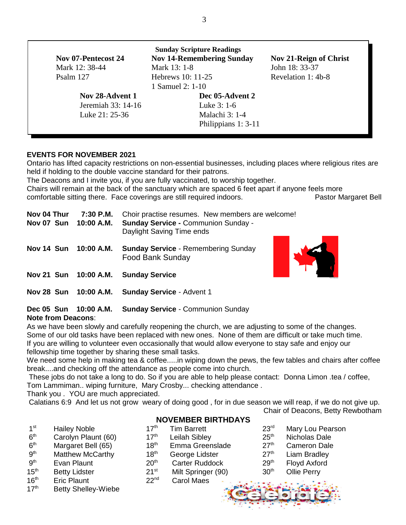| <b>Sunday Scripture Readings</b> |                     |                                  |                        |  |  |  |  |  |  |
|----------------------------------|---------------------|----------------------------------|------------------------|--|--|--|--|--|--|
|                                  | Nov 07-Pentecost 24 | <b>Nov 14-Remembering Sunday</b> | Nov 21-Reign of Christ |  |  |  |  |  |  |
|                                  | Mark 12: 38-44      | Mark 13: 1-8                     | John 18: 33-37         |  |  |  |  |  |  |
|                                  | Psalm 127           | Hebrews 10: 11-25                | Revelation 1:4b-8      |  |  |  |  |  |  |
|                                  |                     | 1 Samuel 2: 1-10                 |                        |  |  |  |  |  |  |
|                                  | Nov 28-Advent 1     | Dec 05-Advent 2                  |                        |  |  |  |  |  |  |
|                                  | Jeremiah 33: 14-16  | Luke 3: 1-6                      |                        |  |  |  |  |  |  |
|                                  | Luke 21: 25-36      | Malachi 3: 1-4                   |                        |  |  |  |  |  |  |
|                                  |                     | Philippians 1: 3-11              |                        |  |  |  |  |  |  |

# **EVENTS FOR NOVEMBER 2021**

Ontario has lifted capacity restrictions on non-essential businesses, including places where religious rites are held if holding to the double vaccine standard for their patrons.

The Deacons and I invite you, if you are fully vaccinated, to worship together.

Chairs will remain at the back of the sanctuary which are spaced 6 feet apart if anyone feels more comfortable sitting there. Face coverings are still required indoors. Pastor Margaret Bell

| Nov 04 Thur<br>Nov 07 Sun | 7:30 P.M.<br>10:00 A.M. | Choir practise resumes. New members are welcome!<br><b>Sunday Service - Communion Sunday -</b><br>Daylight Saving Time ends |  |  |  |
|---------------------------|-------------------------|-----------------------------------------------------------------------------------------------------------------------------|--|--|--|
| Nov 14 Sun                | 10:00 A.M.              | <b>Sunday Service - Remembering Sunday</b><br><b>Food Bank Sunday</b>                                                       |  |  |  |
|                           |                         | Nov 21 Sun 10:00 A.M. Sunday Service                                                                                        |  |  |  |
| Nov 28 Sun                | 10:00 A.M.              | <b>Sunday Service - Advent 1</b>                                                                                            |  |  |  |

**Dec 05 Sun 10:00 A.M. Sunday Service** - Communion Sunday

### **Note from Deacons**:

As we have been slowly and carefully reopening the church, we are adjusting to some of the changes. Some of our old tasks have been replaced with new ones. None of them are difficult or take much time. If you are willing to volunteer even occasionally that would allow everyone to stay safe and enjoy our fellowship time together by sharing these small tasks.

We need some help in making tea & coffee.....in wiping down the pews, the few tables and chairs after coffee break....and checking off the attendance as people come into church.

These jobs do not take a long to do. So if you are able to help please contact: Donna Limon .tea / coffee, Tom Lammiman.. wiping furniture, Mary Crosby... checking attendance .

Thank you . YOU are much appreciated.

Calatians 6:9 And let us not grow weary of doing good , for in due season we will reap, if we do not give up.

Chair of Deacons, Betty Rewbotham

# **NOVEMBER BIRTHDAYS**

- $1<sup>st</sup>$  $6<sup>th</sup>$
- $6<sup>th</sup>$
- **gth**
- $9<sup>th</sup>$
- 
- 
- 16<sup>th</sup> Eric Plaunt 22<sup>nd</sup> Carol Maes
- 17<sup>th</sup> Betty Shelley-Wiebe
- Hailey Noble **17<sup>th</sup>** Tim Barrett 23<sup>rd</sup> Mary Lou Pearson
- Carolyn Plaunt (60)  $17<sup>th</sup>$  Leilah Sibley  $25<sup>th</sup>$  Nicholas Dale
- Margaret Bell (65)  $18<sup>th</sup>$  Emma Greenslade  $27<sup>th</sup>$  Cameron Dale
- Matthew McCarthy  $18<sup>th</sup>$  George Lidster 27<sup>th</sup> Liam Bradley
- Evan Plaunt 20<sup>th</sup> Carter Ruddock 29<sup>th</sup> Floyd Axford
	-
- 15<sup>th</sup> Betty Lidster 21<sup>st</sup> Milt Springer (90) 30<sup>th</sup> Ollie Perry



3

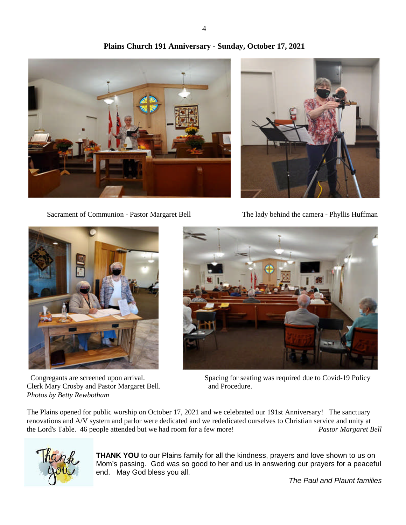



Sacrament of Communion - Pastor Margaret Bell The lady behind the camera - Phyllis Huffman



Clerk Mary Crosby and Pastor Margaret Bell. and Procedure. *Photos by Betty Rewbotham*



Congregants are screened upon arrival. Spacing for seating was required due to Covid-19 Policy

The Plains opened for public worship on October 17, 2021 and we celebrated our 191st Anniversary! The sanctuary renovations and A/V system and parlor were dedicated and we rededicated ourselves to Christian service and unity at the Lord's Table. 46 people attended but we had room for a few more! *Pastor Margaret Bell*



**THANK YOU** to our Plains family for all the kindness, prayers and love shown to us on Mom's passing. God was so good to her and us in answering our prayers for a peaceful end. May God bless you all.

*The Paul and Plaunt families*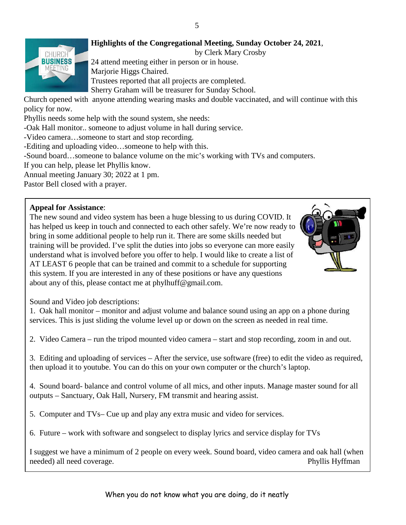# 5



**Highlights of the Congregational Meeting, Sunday October 24, 2021**,

by Clerk Mary Crosby

24 attend meeting either in person or in house.

Marjorie Higgs Chaired.

Trustees reported that all projects are completed.

Sherry Graham will be treasurer for Sunday School.

Church opened with anyone attending wearing masks and double vaccinated, and will continue with this policy for now.

Phyllis needs some help with the sound system, she needs:

-Oak Hall monitor.. someone to adjust volume in hall during service.

-Video camera…someone to start and stop recording.

-Editing and uploading video…someone to help with this.

-Sound board…someone to balance volume on the mic's working with TVs and computers.

If you can help, please let Phyllis know.

Annual meeting January 30; 2022 at 1 pm.

Pastor Bell closed with a prayer.

# **Appeal for Assistance**:

The new sound and video system has been a huge blessing to us during COVID. It has helped us keep in touch and connected to each other safely. We're now ready to bring in some additional people to help run it. There are some skills needed but training will be provided. I've split the duties into jobs so everyone can more easily understand what is involved before you offer to help. I would like to create a list of AT LEAST 6 people that can be trained and commit to a schedule for supporting this system. If you are interested in any of these positions or have any questions about any of this, please contact me at phylhuff@gmail.com.



Sound and Video job descriptions:

1. Oak hall monitor – monitor and adjust volume and balance sound using an app on a phone during services. This is just sliding the volume level up or down on the screen as needed in real time.

2. Video Camera – run the tripod mounted video camera – start and stop recording, zoom in and out.

3. Editing and uploading of services – After the service, use software (free) to edit the video as required, then upload it to youtube. You can do this on your own computer or the church's laptop.

4. Sound board- balance and control volume of all mics, and other inputs. Manage master sound for all outputs – Sanctuary, Oak Hall, Nursery, FM transmit and hearing assist.

5. Computer and TVs– Cue up and play any extra music and video for services.

6. Future – work with software and songselect to display lyrics and service display for TVs

I suggest we have a minimum of 2 people on every week. Sound board, video camera and oak hall (when needed) all need coverage. Phyllis Hyffman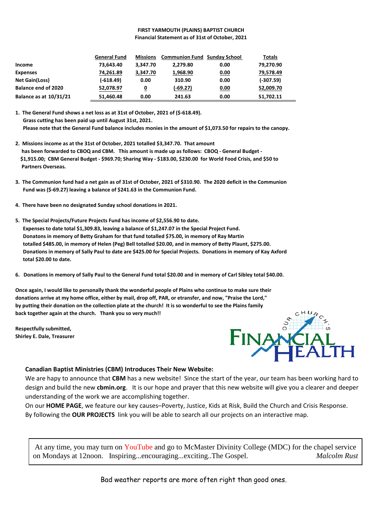#### **FIRST YARMOUTH (PLAINS) BAPTIST CHURCH Financial Statement as of 31st of October, 2021**

|                               | <b>General Fund</b> | <b>Missions</b> | <b>Communion Fund Sunday School</b> |             | Totals      |
|-------------------------------|---------------------|-----------------|-------------------------------------|-------------|-------------|
| Income                        | 73,643.40           | 3.347.70        | 2.279.80                            | 0.00        | 79,270.90   |
| <b>Expenses</b>               | 74,261.89           | 3,347.70        | 1,968.90                            | <u>0.00</u> | 79,578.49   |
| <b>Net Gain(Loss)</b>         | (-618.49)           | 0.00            | 310.90                              | 0.00        | $(-307.59)$ |
| <b>Balance end of 2020</b>    | 52,078.97           | 0               | $(-69.27)$                          | <u>0.00</u> | 52,009.70   |
| <b>Balance as at 10/31/21</b> | 51.460.48           | 0.00            | 241.63                              | 0.00        | 51.702.11   |

**1. The General Fund shows a net loss as at 31st of October, 2021 of (\$-618.49). Grass cutting has been paid up until August 31st, 2021. Please note that the General Fund balance includes monies in the amount of \$1,073.50 for repairs to the canopy.**

- **2. Missions income as at the 31st of October, 2021 totalled \$3,347.70. That amount has been forwarded to CBOQ and CBM. This amount is made up as follows: CBOQ - General Budget - \$1,915.00; CBM General Budget - \$969.70; Sharing Way - \$183.00, \$230.00 for World Food Crisis, and \$50 to Partners Overseas.**
- **3. The Communion fund had a net gain as of 31st of October, 2021 of \$310.90. The 2020 deficit in the Communion Fund was (\$-69.27) leaving a balance of \$241.63 in the Communion Fund.**
- **4. There have been no designated Sunday school donations in 2021.**
- **5. The Special Projects/Future Projects Fund has income of \$2,556.90 to date. Expenses to date total \$1,309.83, leaving a balance of \$1,247.07 in the Special Project Fund. Donatons in memory of Betty Graham for that fund totalled \$75.00, in memory of Ray Martin totalled \$485.00, in memory of Helen (Peg) Bell totalled \$20.00, and in memory of Betty Plaunt, \$275.00. Donations in memory of Sally Paul to date are \$425.00 for Special Projects. Donations in memory of Kay Axford total \$20.00 to date.**
- **6. Donations in memory of Sally Paul to the General Fund total \$20.00 and in memory of Carl Sibley total \$40.00.**

**Once again, I would like to personally thank the wonderful people of Plains who continue to make sure their donations arrive at my home office, either by mail, drop off, PAR, or etransfer, and now, "Praise the Lord," by putting their donation on the collection plate at the church! It is so wonderful to see the Plains family back together again at the church. Thank you so very much!!**

**Respectfully submitted, Shirley E. Dale, Treasurer**



#### **Canadian Baptist Ministries (CBM) Introduces Their New Website:**

We are hapy to announce that **CBM** has a new website! Since the start of the year, our team has been working hard to design and build the new **cbmin.org**. It is our hope and prayer that this new website will give you a clearer and deeper understanding of the work we are accomplishing together.

On our **HOME PAGE**, we feature our key causes–Poverty, Justice, Kids at Risk, Build the Church and Crisis Response. By following the **OUR PROJECTS** link you will be able to search all our projects on an interactive map.

At any time, you may turn on YouTube and go to McMaster Divinity College (MDC) for the chapel service on Mondays at 12noon. Inspiring...encouraging...exciting..The Gospel. *Malcolm Rust*

Bad weather reports are more often right than good ones.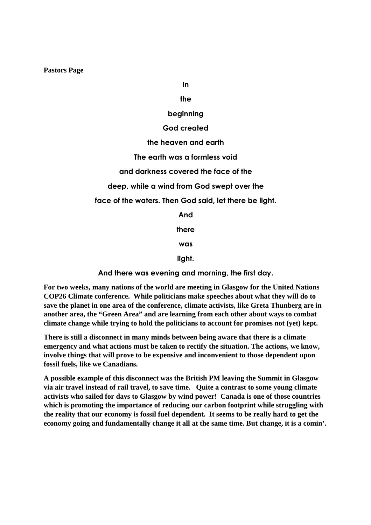**Pastors Page**

**In**

# **the**

### **beginning**

### **God created**

### **the heaven and earth**

**The earth was a formless void**

### **and darkness covered the face of the**

**deep, while a wind from God swept over the**

**face of the waters. Then God said, let there be light.**

**And**

**there**

**was**

**light.**

**And there was evening and morning, the first day.**

**For two weeks, many nations of the world are meeting in Glasgow for the United Nations COP26 Climate conference. While politicians make speeches about what they will do to save the planet in one area of the conference, climate activists, like Greta Thunberg are in another area, the "Green Area" and are learning from each other about ways to combat climate change while trying to hold the politicians to account for promises not (yet) kept.**

**There is still a disconnect in many minds between being aware that there is a climate emergency and what actions must be taken to rectify the situation. The actions, we know, involve things that will prove to be expensive and inconvenient to those dependent upon fossil fuels, like we Canadians.**

**A possible example of this disconnect was the British PM leaving the Summit in Glasgow via air travel instead of rail travel, to save time. Quite a contrast to some young climate activists who sailed for days to Glasgow by wind power! Canada is one of those countries which is promoting the importance of reducing our carbon footprint while struggling with the reality that our economy is fossil fuel dependent. It seems to be really hard to get the economy going and fundamentally change it all at the same time. But change, it is a comin'.**